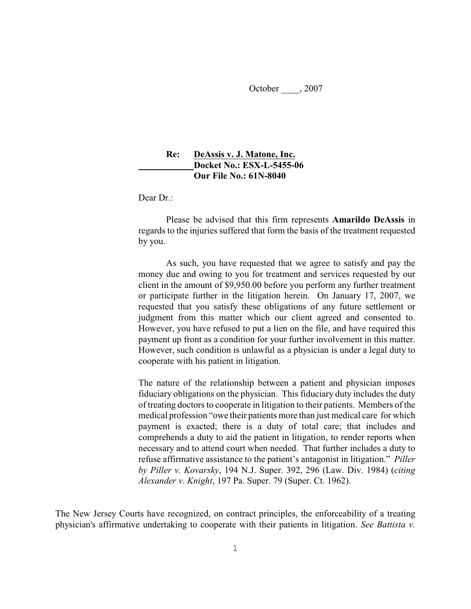October , 2007

## **Re: DeAssis v. J. Matone, Inc. Docket No.: ESX-L-5455-06 Our File No.: 61N-8040**

Dear Dr.:

Please be advised that this firm represents **Amarildo DeAssis** in regards to the injuries suffered that form the basis of the treatment requested by you.

As such, you have requested that we agree to satisfy and pay the money due and owing to you for treatment and services requested by our client in the amount of \$9,950.00 before you perform any further treatment or participate further in the litigation herein. On January 17, 2007, we requested that you satisfy these obligations of any future settlement or judgment from this matter which our client agreed and consented to. However, you have refused to put a lien on the file, and have required this payment up front as a condition for your further involvement in this matter. However, such condition is unlawful as a physician is under a legal duty to cooperate with his patient in litigation.

The nature of the relationship between a patient and physician imposes fiduciary obligations on the physician. This fiduciary duty includes the duty of treating doctors to cooperate in litigation to their patients. Members of the medical profession "owe their patients more than just medical care for which payment is exacted; there is a duty of total care; that includes and comprehends a duty to aid the patient in litigation, to render reports when necessary and to attend court when needed. That further includes a duty to refuse affirmative assistance to the patient's antagonist in litigation." *Piller by Piller v. Kovarsky*, 194 N.J. Super. 392, 296 (Law. Div. 1984) (*citing Alexander v. Knight*, 197 Pa. Super. 79 (Super. Ct. 1962).

The New Jersey Courts have recognized, on contract principles, the enforceability of a treating physician's affirmative undertaking to cooperate with their patients in litigation. *See Battista v.*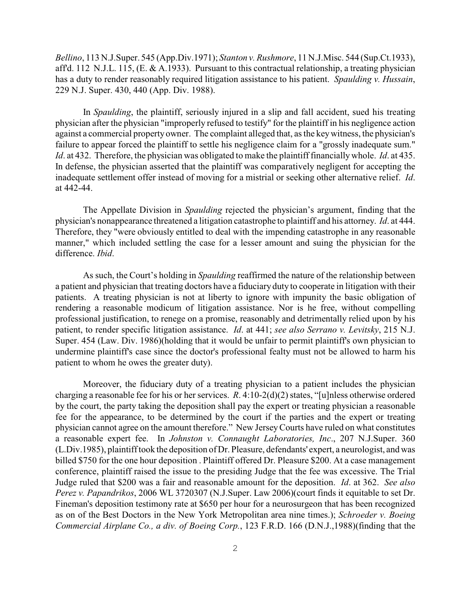*Bellino*, 113 N.J.Super. 545 (App.Div.1971); *Stanton v. Rushmore*, 11 N.J.Misc. 544 (Sup.Ct.1933), aff'd. 112 N.J.L. 115, (E. & A.1933). Pursuant to this contractual relationship, a treating physician has a duty to render reasonably required litigation assistance to his patient. *Spaulding v. Hussain*, 229 N.J. Super. 430, 440 (App. Div. 1988).

In *Spaulding*, the plaintiff, seriously injured in a slip and fall accident, sued his treating physician after the physician "improperly refused to testify" for the plaintiff in his negligence action against a commercial property owner. The complaint alleged that, asthe key witness, the physician's failure to appear forced the plaintiff to settle his negligence claim for a "grossly inadequate sum." *Id*. at 432. Therefore, the physician was obligated to make the plaintiff financially whole. *Id*. at 435. In defense, the physician asserted that the plaintiff was comparatively negligent for accepting the inadequate settlement offer instead of moving for a mistrial or seeking other alternative relief. *Id*. at 442-44.

The Appellate Division in *Spaulding* rejected the physician's argument, finding that the physician's nonappearance threatened a litigation catastrophe to plaintiff and his attorney. *Id*. at 444. Therefore, they "were obviously entitled to deal with the impending catastrophe in any reasonable manner," which included settling the case for a lesser amount and suing the physician for the difference. *Ibid*.

As such, the Court's holding in *Spaulding* reaffirmed the nature of the relationship between a patient and physician that treating doctors have a fiduciary duty to cooperate in litigation with their patients. A treating physician is not at liberty to ignore with impunity the basic obligation of rendering a reasonable modicum of litigation assistance. Nor is he free, without compelling professional justification, to renege on a promise, reasonably and detrimentally relied upon by his patient, to render specific litigation assistance. *Id*. at 441; *see also Serrano v. Levitsky*, 215 N.J. Super. 454 (Law. Div. 1986)(holding that it would be unfair to permit plaintiff's own physician to undermine plaintiff's case since the doctor's professional fealty must not be allowed to harm his patient to whom he owes the greater duty).

Moreover, the fiduciary duty of a treating physician to a patient includes the physician charging a reasonable fee for his or her services. *R*. 4:10-2(d)(2) states, "[u]nless otherwise ordered by the court, the party taking the deposition shall pay the expert or treating physician a reasonable fee for the appearance, to be determined by the court if the parties and the expert or treating physician cannot agree on the amount therefore." New Jersey Courts have ruled on what constitutes a reasonable expert fee. In *Johnston v. Connaught Laboratories, Inc*., 207 N.J.Super. 360 (L.Div.1985), plaintiff took the deposition of Dr. Pleasure, defendants' expert, a neurologist, and was billed \$750 for the one hour deposition . Plaintiff offered Dr. Pleasure \$200. At a case management conference, plaintiff raised the issue to the presiding Judge that the fee was excessive. The Trial Judge ruled that \$200 was a fair and reasonable amount for the deposition. *Id*. at 362. *See also Perez v. Papandrikos*, 2006 WL 3720307 (N.J.Super. Law 2006)(court finds it equitable to set Dr. Fineman's deposition testimony rate at \$650 per hour for a neurosurgeon that has been recognized as on of the Best Doctors in the New York Metropolitan area nine times.); *Schroeder v. Boeing Commercial Airplane Co., a div. of Boeing Corp.*, 123 F.R.D. 166 (D.N.J.,1988)(finding that the